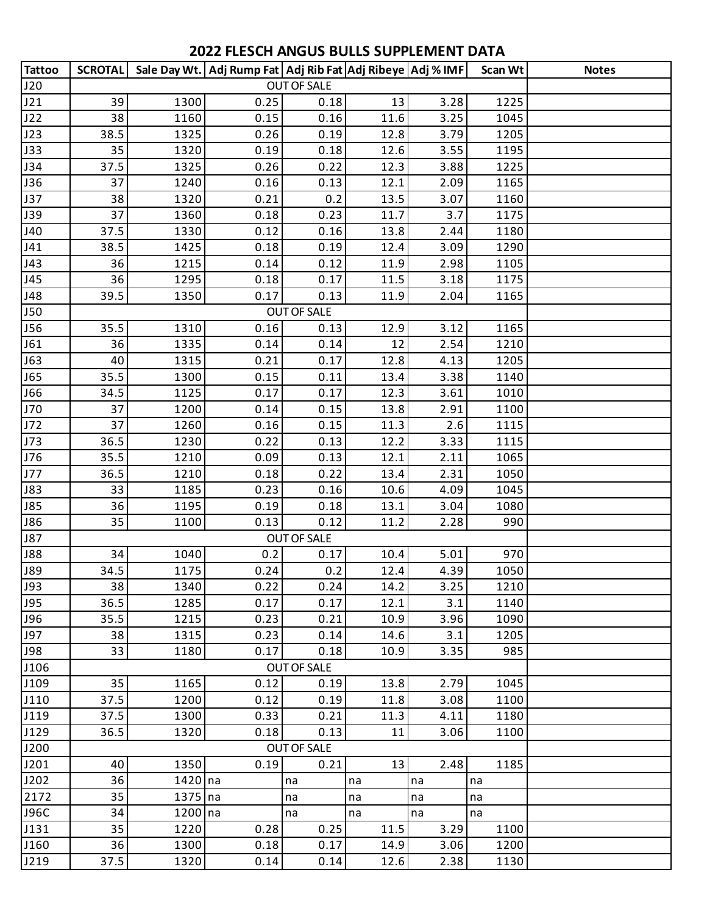## **2022 FLESCH ANGUS BULLS SUPPLEMENT DATA**

| <b>Tattoo</b> |      |           | SCROTAL   Sale Day Wt.   Adj Rump Fat   Adj Rib Fat   Adj Ribeye   Adj % IMF |                    |      |      | Scan Wt | <b>Notes</b> |
|---------------|------|-----------|------------------------------------------------------------------------------|--------------------|------|------|---------|--------------|
| J20           |      |           |                                                                              |                    |      |      |         |              |
| J21           | 39   | 1300      | 0.25                                                                         | 0.18               | 13   | 3.28 | 1225    |              |
| J22           | 38   | 1160      | 0.15                                                                         | 0.16               | 11.6 | 3.25 | 1045    |              |
| J23           | 38.5 | 1325      | 0.26                                                                         | 0.19               | 12.8 | 3.79 | 1205    |              |
| J33           | 35   | 1320      | 0.19                                                                         | 0.18               | 12.6 | 3.55 | 1195    |              |
| <b>J34</b>    | 37.5 | 1325      | 0.26                                                                         | 0.22               | 12.3 | 3.88 | 1225    |              |
| <b>J36</b>    | 37   | 1240      | 0.16                                                                         | 0.13               | 12.1 | 2.09 | 1165    |              |
| J37           | 38   | 1320      | 0.21                                                                         | 0.2                | 13.5 | 3.07 | 1160    |              |
| <b>J39</b>    | 37   | 1360      | 0.18                                                                         | 0.23               | 11.7 | 3.7  | 1175    |              |
| J40           | 37.5 | 1330      | 0.12                                                                         | 0.16               | 13.8 | 2.44 | 1180    |              |
| J41           | 38.5 | 1425      | 0.18                                                                         | 0.19               | 12.4 | 3.09 | 1290    |              |
| J43           | 36   | 1215      | 0.14                                                                         | 0.12               | 11.9 | 2.98 | 1105    |              |
| J45           | 36   | 1295      | 0.18                                                                         | 0.17               | 11.5 | 3.18 | 1175    |              |
| J48           | 39.5 | 1350      | 0.17                                                                         | 0.13               | 11.9 | 2.04 | 1165    |              |
| <b>J50</b>    |      |           |                                                                              | <b>OUT OF SALE</b> |      |      |         |              |
| <b>J56</b>    | 35.5 | 1310      | 0.16                                                                         | 0.13               | 12.9 | 3.12 | 1165    |              |
| J61           | 36   | 1335      | 0.14                                                                         | 0.14               | 12   | 2.54 | 1210    |              |
| <b>J63</b>    | 40   | 1315      | 0.21                                                                         | 0.17               | 12.8 | 4.13 | 1205    |              |
| <b>J65</b>    | 35.5 | 1300      | 0.15                                                                         | 0.11               | 13.4 | 3.38 | 1140    |              |
| <b>J66</b>    | 34.5 | 1125      | 0.17                                                                         | 0.17               | 12.3 | 3.61 | 1010    |              |
| J70           | 37   | 1200      | 0.14                                                                         | 0.15               | 13.8 | 2.91 | 1100    |              |
| J72           | 37   | 1260      | 0.16                                                                         | 0.15               | 11.3 | 2.6  | 1115    |              |
| J73           | 36.5 | 1230      | 0.22                                                                         | 0.13               | 12.2 | 3.33 | 1115    |              |
| J76           | 35.5 | 1210      | 0.09                                                                         | 0.13               | 12.1 | 2.11 | 1065    |              |
| J77           | 36.5 | 1210      | 0.18                                                                         | 0.22               | 13.4 | 2.31 | 1050    |              |
| <b>J83</b>    | 33   | 1185      | 0.23                                                                         | 0.16               | 10.6 | 4.09 | 1045    |              |
| <b>J85</b>    | 36   | 1195      | 0.19                                                                         | 0.18               | 13.1 | 3.04 | 1080    |              |
| <b>J86</b>    | 35   | 1100      | 0.13                                                                         | 0.12               | 11.2 | 2.28 | 990     |              |
| <b>J87</b>    |      |           |                                                                              | <b>OUT OF SALE</b> |      |      |         |              |
| <b>J88</b>    | 34   | 1040      | 0.2                                                                          | 0.17               | 10.4 | 5.01 | 970     |              |
| <b>J89</b>    | 34.5 | 1175      | 0.24                                                                         | 0.2                | 12.4 | 4.39 | 1050    |              |
| <b>J93</b>    | 38   | 1340      | 0.22                                                                         | 0.24               | 14.2 | 3.25 | 1210    |              |
| <b>J95</b>    | 36.5 | 1285      | 0.17                                                                         | 0.17               | 12.1 | 3.1  | 1140    |              |
| <b>J96</b>    | 35.5 | 1215      | 0.23                                                                         | 0.21               | 10.9 | 3.96 | 1090    |              |
| <b>J97</b>    | 38   | 1315      | 0.23                                                                         | 0.14               | 14.6 | 3.1  | 1205    |              |
| <b>J98</b>    | 33   | 1180      | 0.17                                                                         | 0.18               | 10.9 | 3.35 | 985     |              |
| J106          |      |           |                                                                              | <b>OUT OF SALE</b> |      |      |         |              |
| J109          | 35   | 1165      | 0.12                                                                         | 0.19               | 13.8 | 2.79 | 1045    |              |
| J110          | 37.5 | 1200      | 0.12                                                                         | 0.19               | 11.8 | 3.08 | 1100    |              |
| J119          | 37.5 | 1300      | 0.33                                                                         | 0.21               | 11.3 | 4.11 | 1180    |              |
| J129          | 36.5 | 1320      | 0.18                                                                         | 0.13               | 11   | 3.06 | 1100    |              |
| J200          |      |           |                                                                              | <b>OUT OF SALE</b> |      |      |         |              |
| J201          | 40   | 1350      | 0.19                                                                         | 0.21               | 13   | 2.48 | 1185    |              |
| J202          | 36   | $1420$ na |                                                                              | na                 | na   | na   | na      |              |
| 2172          | 35   | $1375$ na |                                                                              | na                 | na   | na   | na      |              |
| <b>J96C</b>   | 34   | 1200 na   |                                                                              | na                 | na   | na   | na      |              |
| J131          | 35   | 1220      | 0.28                                                                         | 0.25               | 11.5 | 3.29 | 1100    |              |
| J160          | 36   | 1300      | 0.18                                                                         | 0.17               | 14.9 | 3.06 | 1200    |              |
| J219          | 37.5 | 1320      | 0.14                                                                         | 0.14               | 12.6 | 2.38 | 1130    |              |